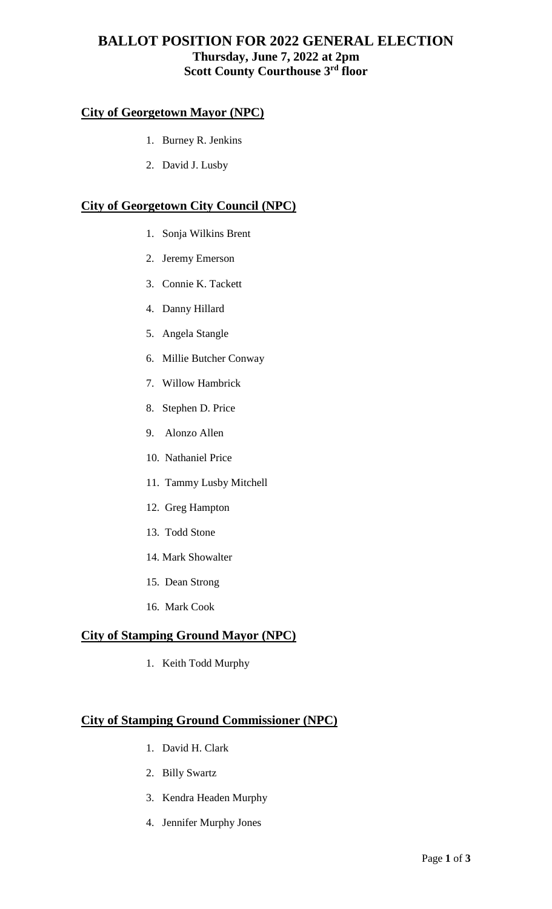## **BALLOT POSITION FOR 2022 GENERAL ELECTION Thursday, June 7, 2022 at 2pm Scott County Courthouse 3rd floor**

## **City of Georgetown Mayor (NPC)**

- 1. Burney R. Jenkins
- 2. David J. Lusby

## **City of Georgetown City Council (NPC)**

- 1. Sonja Wilkins Brent
- 2. Jeremy Emerson
- 3. Connie K. Tackett
- 4. Danny Hillard
- 5. Angela Stangle
- 6. Millie Butcher Conway
- 7. Willow Hambrick
- 8. Stephen D. Price
- 9. Alonzo Allen
- 10. Nathaniel Price
- 11. Tammy Lusby Mitchell
- 12. Greg Hampton
- 13. Todd Stone
- 14. Mark Showalter
- 15. Dean Strong
- 16. Mark Cook

## **City of Stamping Ground Mayor (NPC)**

1. Keith Todd Murphy

#### **City of Stamping Ground Commissioner (NPC)**

- 1. David H. Clark
- 2. Billy Swartz
- 3. Kendra Headen Murphy
- 4. Jennifer Murphy Jones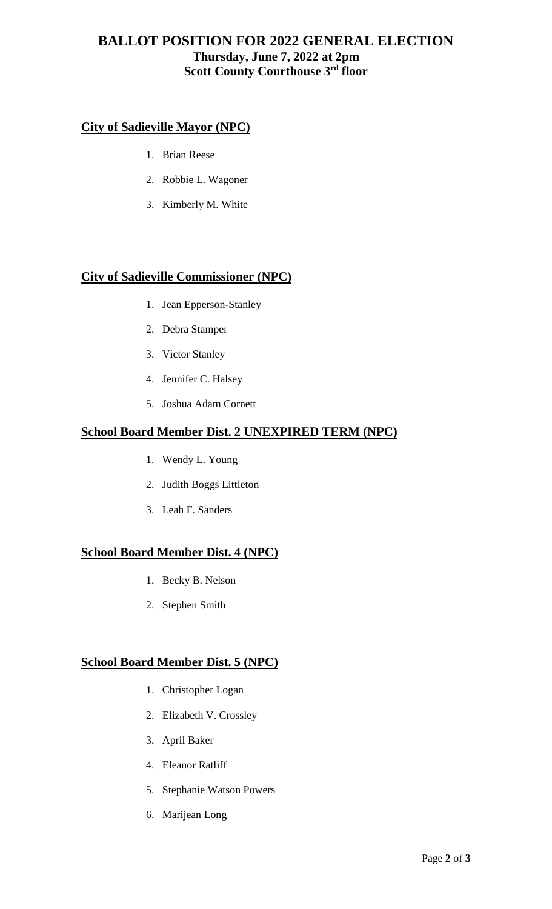# **BALLOT POSITION FOR 2022 GENERAL ELECTION Thursday, June 7, 2022 at 2pm Scott County Courthouse 3rd floor**

## **City of Sadieville Mayor (NPC)**

- 1. Brian Reese
- 2. Robbie L. Wagoner
- 3. Kimberly M. White

#### **City of Sadieville Commissioner (NPC)**

- 1. Jean Epperson-Stanley
- 2. Debra Stamper
- 3. Victor Stanley
- 4. Jennifer C. Halsey
- 5. Joshua Adam Cornett

## **School Board Member Dist. 2 UNEXPIRED TERM (NPC)**

- 1. Wendy L. Young
- 2. Judith Boggs Littleton
- 3. Leah F. Sanders

#### **School Board Member Dist. 4 (NPC)**

- 1. Becky B. Nelson
- 2. Stephen Smith

#### **School Board Member Dist. 5 (NPC)**

- 1. Christopher Logan
- 2. Elizabeth V. Crossley
- 3. April Baker
- 4. Eleanor Ratliff
- 5. Stephanie Watson Powers
- 6. Marijean Long